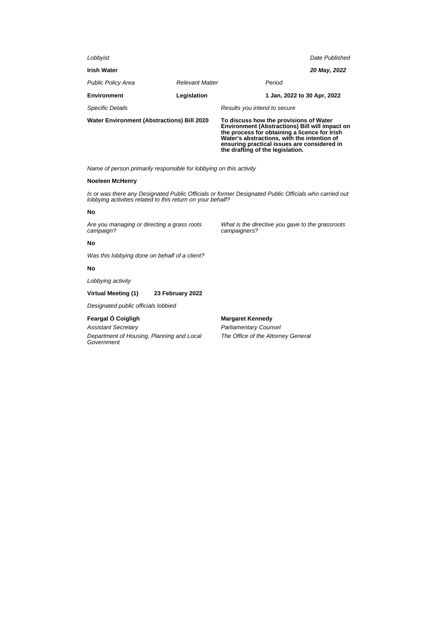| <b>Water Environment (Abstractions) Bill 2020</b> |                        | To discuss how the provisions of Water<br><b>Environment (Abstractions) Bill will impact on</b><br>the process for obtaining a licence for Irish<br>Water's abstractions, with the intention of<br>ensuring practical issues are considered in<br>the drafting of the legislation. |  |  |
|---------------------------------------------------|------------------------|------------------------------------------------------------------------------------------------------------------------------------------------------------------------------------------------------------------------------------------------------------------------------------|--|--|
| <b>Specific Details</b>                           |                        | Results you intend to secure                                                                                                                                                                                                                                                       |  |  |
| <b>Environment</b>                                | Legislation            | 1 Jan, 2022 to 30 Apr, 2022                                                                                                                                                                                                                                                        |  |  |
| <b>Public Policy Area</b>                         | <b>Relevant Matter</b> | Period                                                                                                                                                                                                                                                                             |  |  |
| <b>Irish Water</b>                                |                        | 20 May, 2022                                                                                                                                                                                                                                                                       |  |  |
| Lobbyist                                          |                        | Date Published                                                                                                                                                                                                                                                                     |  |  |
|                                                   |                        |                                                                                                                                                                                                                                                                                    |  |  |

# **Noeleen McHenry**

Is or was there any Designated Public Officials or former Designated Public Officials who carried out lobbying activities related to this return on your behalf?

### **No**

Are you managing or directing a grass roots campaign?

What is the directive you gave to the grassroots campaigners?

**No**

Was this lobbying done on behalf of a client?

# **No**

Lobbying activity

# **Virtual Meeting (1) 23 February 2022**

Designated public officials lobbied

# **Feargal Ó Coigligh**

Assistant Secretary

Department of Housing, Planning and Local **Government** 

**Margaret Kennedy**

Parliamentary Counsel The Office of the Attorney General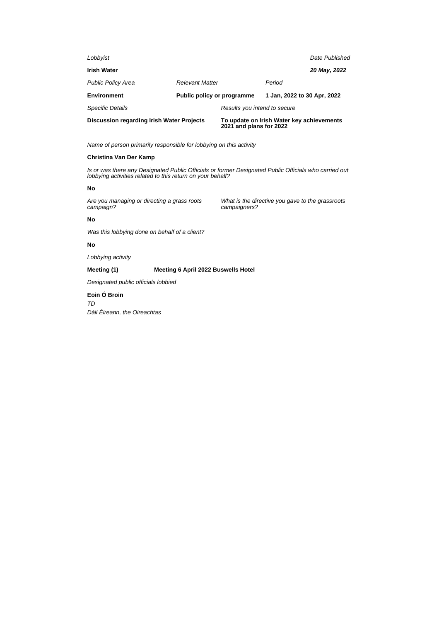| Lobbyist                                         |                            |                                                                      |                             | Date Published |
|--------------------------------------------------|----------------------------|----------------------------------------------------------------------|-----------------------------|----------------|
| <b>Irish Water</b>                               |                            |                                                                      |                             | 20 May, 2022   |
| <b>Public Policy Area</b>                        | <b>Relevant Matter</b>     |                                                                      | Period                      |                |
| <b>Environment</b>                               | Public policy or programme |                                                                      | 1 Jan, 2022 to 30 Apr, 2022 |                |
| <b>Specific Details</b>                          |                            | Results you intend to secure                                         |                             |                |
| <b>Discussion regarding Irish Water Projects</b> |                            | To update on Irish Water key achievements<br>2021 and plans for 2022 |                             |                |

# **Christina Van Der Kamp**

Is or was there any Designated Public Officials or former Designated Public Officials who carried out lobbying activities related to this return on your behalf?

#### **No**

Are you managing or directing a grass roots campaign?

What is the directive you gave to the grassroots campaigners?

### **No**

Was this lobbying done on behalf of a client?

### **No**

Lobbying activity

# **Meeting (1) Meeting 6 April 2022 Buswells Hotel**

Designated public officials lobbied

## **Eoin Ó Broin**

TD Dáil Éireann, the Oireachtas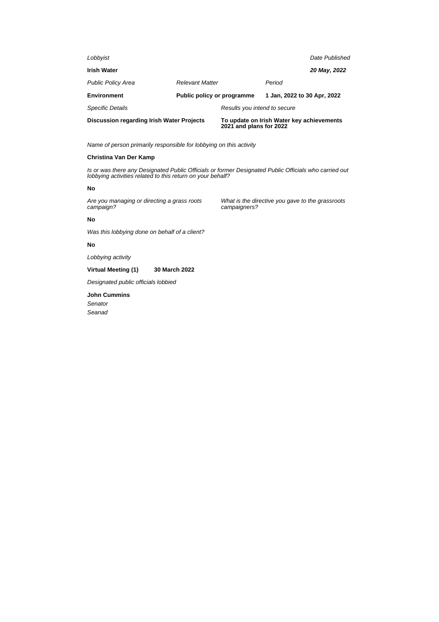| Lobbyist                                  |                            |                                                                      |                             | Date Published |
|-------------------------------------------|----------------------------|----------------------------------------------------------------------|-----------------------------|----------------|
| <b>Irish Water</b>                        |                            |                                                                      |                             | 20 May, 2022   |
| <b>Public Policy Area</b>                 | <b>Relevant Matter</b>     |                                                                      | Period                      |                |
| <b>Environment</b>                        | Public policy or programme |                                                                      | 1 Jan, 2022 to 30 Apr, 2022 |                |
| <b>Specific Details</b>                   |                            | Results you intend to secure                                         |                             |                |
| Discussion regarding Irish Water Projects |                            | To update on Irish Water key achievements<br>2021 and plans for 2022 |                             |                |

# **Christina Van Der Kamp**

Is or was there any Designated Public Officials or former Designated Public Officials who carried out lobbying activities related to this return on your behalf?

#### **No**

Are you managing or directing a grass roots campaign?

What is the directive you gave to the grassroots campaigners?

# **No**

Was this lobbying done on behalf of a client?

### **No**

Lobbying activity

#### **Virtual Meeting (1) 30 March 2022**

Designated public officials lobbied

### **John Cummins**

Senator Seanad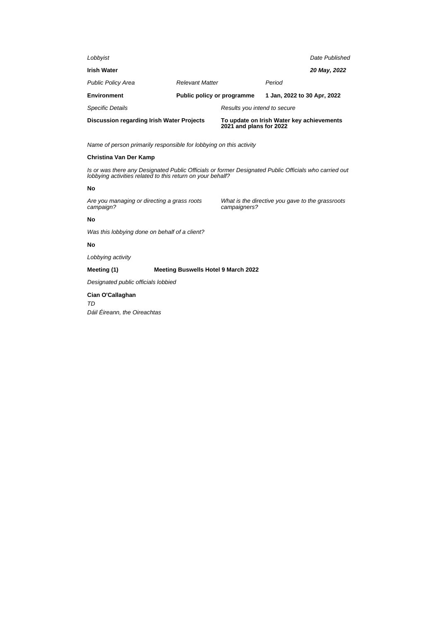| Lobbyist                                         |                            |                                                                      |                             | Date Published |
|--------------------------------------------------|----------------------------|----------------------------------------------------------------------|-----------------------------|----------------|
| <b>Irish Water</b>                               |                            |                                                                      |                             | 20 May, 2022   |
| <b>Public Policy Area</b>                        | <b>Relevant Matter</b>     |                                                                      | Period                      |                |
| <b>Environment</b>                               | Public policy or programme |                                                                      | 1 Jan, 2022 to 30 Apr, 2022 |                |
| <b>Specific Details</b>                          |                            | Results you intend to secure                                         |                             |                |
| <b>Discussion regarding Irish Water Projects</b> |                            | To update on Irish Water key achievements<br>2021 and plans for 2022 |                             |                |

# **Christina Van Der Kamp**

Is or was there any Designated Public Officials or former Designated Public Officials who carried out lobbying activities related to this return on your behalf?

#### **No**

Are you managing or directing a grass roots campaign?

What is the directive you gave to the grassroots campaigners?

# **No**

Was this lobbying done on behalf of a client?

# **No**

Lobbying activity

# **Meeting (1) Meeting Buswells Hotel 9 March 2022**

Designated public officials lobbied

# **Cian O'Callaghan**

TD Dáil Éireann, the Oireachtas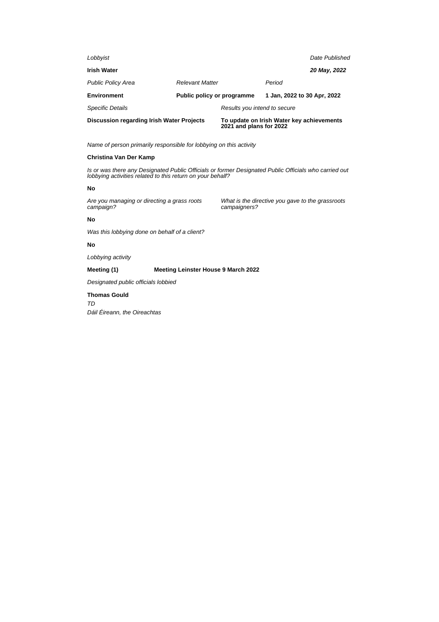| Lobbyist                                         |                            |                                                                      |                             | Date Published |
|--------------------------------------------------|----------------------------|----------------------------------------------------------------------|-----------------------------|----------------|
| <b>Irish Water</b>                               |                            |                                                                      |                             | 20 May, 2022   |
| <b>Public Policy Area</b>                        | <b>Relevant Matter</b>     |                                                                      | Period                      |                |
| <b>Environment</b>                               | Public policy or programme |                                                                      | 1 Jan, 2022 to 30 Apr, 2022 |                |
| <b>Specific Details</b>                          |                            | Results you intend to secure                                         |                             |                |
| <b>Discussion regarding Irish Water Projects</b> |                            | To update on Irish Water key achievements<br>2021 and plans for 2022 |                             |                |

# **Christina Van Der Kamp**

Is or was there any Designated Public Officials or former Designated Public Officials who carried out lobbying activities related to this return on your behalf?

#### **No**

Are you managing or directing a grass roots campaign?

What is the directive you gave to the grassroots campaigners?

### **No**

Was this lobbying done on behalf of a client?

### **No**

Lobbying activity

# **Meeting (1) Meeting Leinster House 9 March 2022**

Designated public officials lobbied

### **Thomas Gould**

TD Dáil Éireann, the Oireachtas